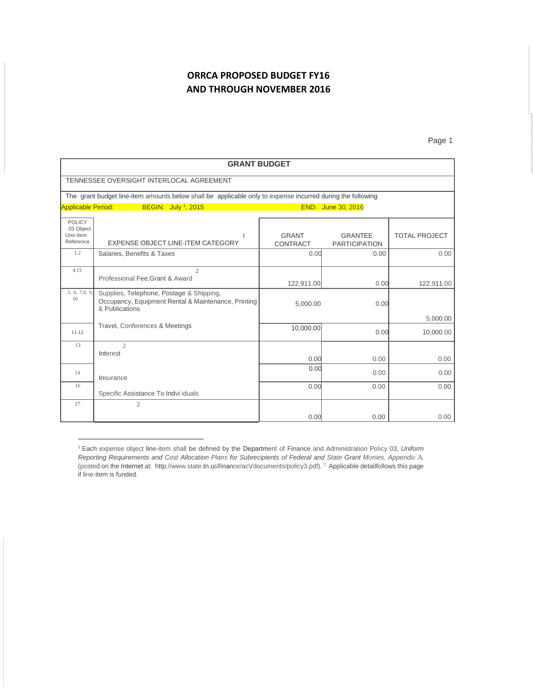## **ORRCA PROPOSED BUDGET FY16 AND THROUGH NOVEMBER 2016**

Page 1

| <b>GRANT BUDGET</b>                                 |                                                                                                                   |                          |                                        |                      |
|-----------------------------------------------------|-------------------------------------------------------------------------------------------------------------------|--------------------------|----------------------------------------|----------------------|
|                                                     | TENNESSEE OVERSIGHT INTERLOCAL AGREEMENT                                                                          |                          |                                        |                      |
|                                                     | The grant budget line-item amounts below shall be applicable only to expense incurred during the following        |                          |                                        |                      |
| <b>Applicable Period:</b>                           | BEGIN: July <sup>1</sup> , 2015                                                                                   |                          | END: June 30, 2016                     |                      |
| <b>POLICY</b><br>03 Object<br>Uno-Item<br>Reference | 1<br><b>EXPENSE OBJECT LINE ITEM CATEGORY</b>                                                                     | <b>GRANT</b><br>CONTRACT | <b>GRANTEE</b><br><b>PARTICIPATION</b> | <b>TOTAL PROJECT</b> |
| 1.2                                                 | Salaries, Benefits & Taxes                                                                                        | 0.00                     | 0.00                                   | 0.00                 |
| 4,15                                                | $\overline{2}$<br>Professional Fee, Grant & Award                                                                 | 122,911.00               | 0.00                                   | 122,911.00           |
| 5, 6, 7,8, 9,<br>10                                 | Supplies, Telephone, Postage & Shipping,<br>Occupancy, Equipment Rental & Maintenance, Printing<br>& Publications | 5,000.00                 | 0.00                                   | 5,000.00             |
| 11.12                                               | Travel, Conferences & Meetings                                                                                    | 10,000.00                | 0.00                                   | 10,000.00            |
| 13                                                  | $\mathcal{D}_{\alpha}$<br>Interest                                                                                | 0.00                     | 0.00                                   | 0.00                 |
| 14                                                  | Insurance                                                                                                         | 0.00                     | 0.00                                   | 0.00                 |
| 16                                                  | Specific Assistance To Indvi iduals                                                                               | 0.00                     | 0.00                                   | 0.00                 |
| 17                                                  | $\overline{2}$                                                                                                    | 0.00                     | 0.00                                   | 0.00                 |

<sup>1</sup> Each expense object line-item shall be defined by the Department of Finance and Administration Policy 03, *Uniform Reporting Requirements and Cost Allocation Plans for Subrecipients of Federal and State Grant Monies, Appendix A.*  (posted on the Internet at: htt[p://www.state.tn.us](http://www.state.tn/)lfinance/acVdocuments/policy3.pdf). <sup>2</sup> Applicable detailfollows this page if line-item is funded.

l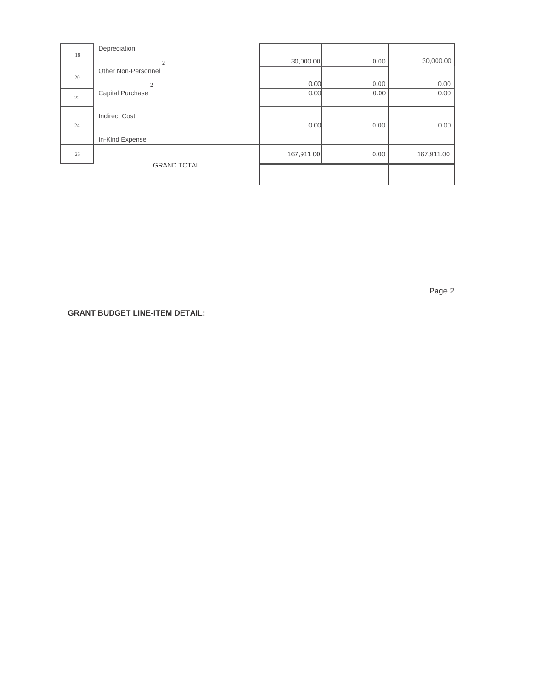| 18 | Depreciation         |            |      |            |
|----|----------------------|------------|------|------------|
|    | $\overline{2}$       | 30,000.00  | 0.00 | 30,000.00  |
| 20 | Other Non-Personnel  |            |      |            |
|    | $\overline{2}$       | 0.00       | 0.00 | 0.00       |
| 22 | Capital Purchase     | 0.00       | 0.00 | 0.00       |
|    | <b>Indirect Cost</b> |            |      |            |
| 24 |                      | 0.00       | 0.00 | 0.00       |
|    | In-Kind Expense      |            |      |            |
| 25 |                      | 167,911.00 | 0.00 | 167,911.00 |
|    | <b>GRAND TOTAL</b>   |            |      |            |
|    |                      |            |      |            |

Page 2

**GRANT BUDGET LINE-ITEM DETAIL:**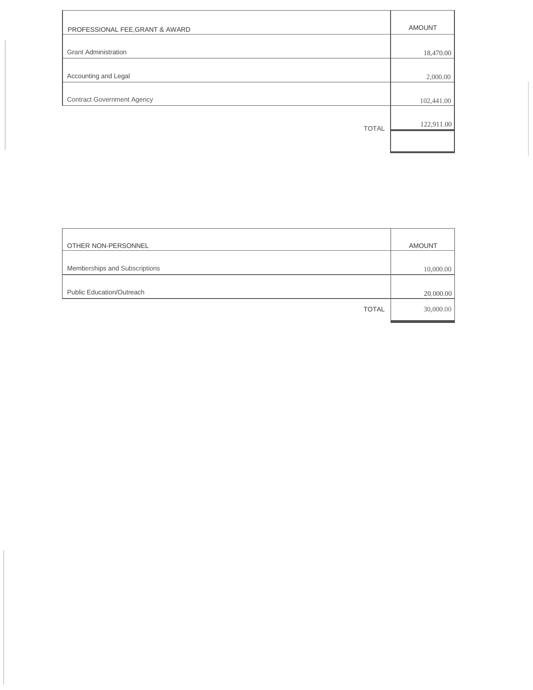| PROFESSIONAL FEE, GRANT & AWARD   | <b>AMOUNT</b> |
|-----------------------------------|---------------|
|                                   |               |
| <b>Grant Administration</b>       | 18,470.00     |
|                                   |               |
| Accounting and Legal              | 2,000.00      |
|                                   |               |
| <b>Contract Government Agency</b> | 102,441.00    |
|                                   |               |
| <b>TOTAL</b>                      | 122,911.00    |
|                                   |               |
|                                   |               |

| OTHER NON-PERSONNEL              | <b>AMOUNT</b> |
|----------------------------------|---------------|
|                                  |               |
| Memberships and Subscriptions    | 10,000.00     |
|                                  |               |
| <b>Public Education/Outreach</b> | 20,000.00     |
| <b>TOTAL</b>                     | 30,000.00     |
|                                  |               |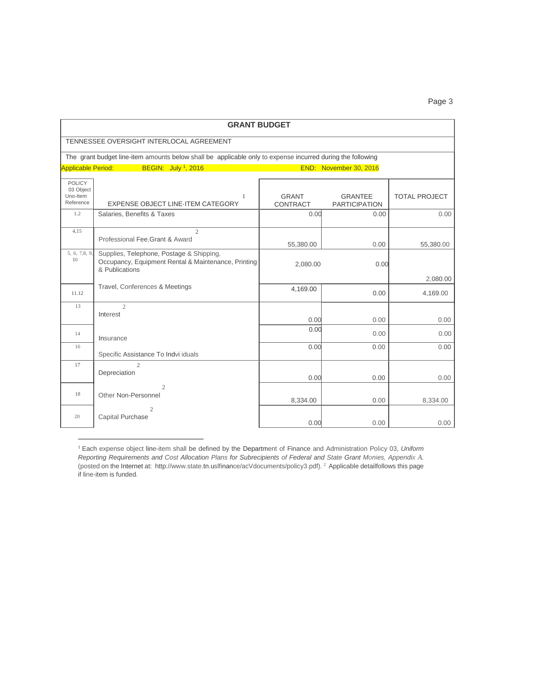| ٠ |  |  |  |
|---|--|--|--|
|---|--|--|--|

| <b>GRANT BUDGET</b>                                 |                                                                                                                   |                                 |                                        |                      |
|-----------------------------------------------------|-------------------------------------------------------------------------------------------------------------------|---------------------------------|----------------------------------------|----------------------|
|                                                     | TENNESSEE OVERSIGHT INTERLOCAL AGREEMENT                                                                          |                                 |                                        |                      |
|                                                     | The grant budget line-item amounts below shall be applicable only to expense incurred during the following        |                                 |                                        |                      |
| <b>Applicable Period:</b>                           | BEGIN: July 1, 2016                                                                                               |                                 | END: November 30, 2016                 |                      |
| <b>POLICY</b><br>03 Object<br>Uno-Item<br>Reference | 1<br><b>EXPENSE OBJECT LINE-ITEM CATEGORY</b>                                                                     | <b>GRANT</b><br><b>CONTRACT</b> | <b>GRANTEE</b><br><b>PARTICIPATION</b> | <b>TOTAL PROJECT</b> |
| 1.2                                                 | Salaries, Benefits & Taxes                                                                                        | 0.00                            | 0.00                                   | 0.00                 |
| 4,15                                                | $\mathfrak{2}$<br>Professional Fee, Grant & Award                                                                 | 55,380.00                       | 0.00                                   | 55,380.00            |
| 5, 6, 7,8, 9<br>10                                  | Supplies, Telephone, Postage & Shipping,<br>Occupancy, Equipment Rental & Maintenance, Printing<br>& Publications | 2,080.00                        | 0.00                                   |                      |
| 11.12                                               | Travel, Conferences & Meetings                                                                                    | 4,169.00                        | 0.00                                   | 2,080.00<br>4,169.00 |
| 13                                                  | $\mathfrak{2}$<br>Interest                                                                                        | 0.00                            | 0.00                                   | 0.00                 |
| 14                                                  | Insurance                                                                                                         | 0.00                            | 0.00                                   | 0.00                 |
| 16                                                  | Specific Assistance To Indvi iduals                                                                               | 0.00                            | 0.00                                   | 0.00                 |
| 17                                                  | $\mathcal{D}_{\alpha}$<br>Depreciation                                                                            | 0.00                            | 0.00                                   | 0.00                 |
| 18                                                  | $\mathfrak{2}$<br>Other Non-Personnel                                                                             | 8,334.00                        | 0.00                                   | 8,334.00             |
| 20                                                  | $\overline{c}$<br>Capital Purchase                                                                                | 0.00                            | 0.00                                   | 0.00                 |

<sup>1</sup> Each expense object line-item shall be defined by the Department of Finance and Administration Policy 03, *Uniform Reporting Requirements and Cost Allocation Plans for Subrecipients of Federal and State Grant Monies, Appendix A.*  (posted on the Internet at: htt[p://www.state.tn.us](http://www.state.tn/)lfinance/acVdocuments/policy3.pdf). <sup>2</sup> Applicable detailfollows this page if line-item is funded.

l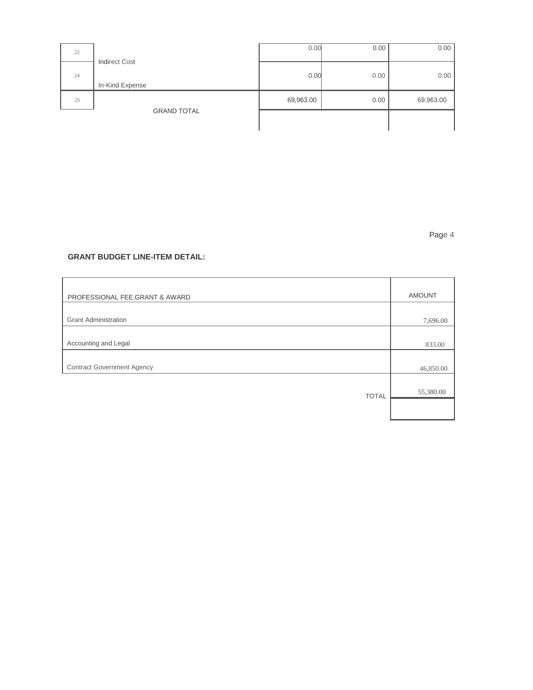| 22 |                                         | 0.00      | 0.00 | 0.00      |
|----|-----------------------------------------|-----------|------|-----------|
| 24 | <b>Indirect Cost</b><br>In-Kind Expense | 0.00      | 0.00 | 0.00      |
| 25 |                                         | 69,963.00 | 0.00 | 69,963.00 |
|    | <b>GRAND TOTAL</b>                      |           |      |           |

Page 4

## **GRANT BUDGET LINE-ITEM DETAIL:**

| PROFESSIONAL FEE, GRANT & AWARD   | <b>AMOUNT</b> |
|-----------------------------------|---------------|
|                                   |               |
| <b>Grant Administration</b>       | 7,696.00      |
|                                   |               |
| Accounting and Legal              | 833.00        |
|                                   |               |
| <b>Contract Government Agency</b> | 46,850.00     |
|                                   |               |
| <b>TOTAL</b>                      | 55,380.00     |
|                                   |               |
|                                   |               |